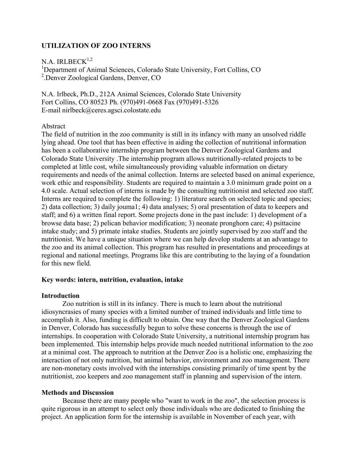# **UTILIZATION OF ZOO INTERNS**

N.A. IRLBECK $1,2$ 

<sup>1</sup>Department of Animal Sciences, Colorado State University, Fort Collins, CO 2 .Denver Zoological Gardens, Denver, CO

N.A. Irlbeck, Ph.D., 212A Animal Sciences, Colorado State University Fort Collins, CO 80523 Ph. (970)491-0668 Fax (970)491-5326 E-mail nirlbeck@ceres.agsci.colostate.edu

#### Abstract

The field of nutrition in the zoo community is still in its infancy with many an unsolved riddle lying ahead. One tool that has been effective in aiding the collection of nutritional information has been a collaborative internship program between the Denver Zoological Gardens and Colorado State University .The internship program allows nutritionally-related projects to be completed at little cost, while simultaneously providing valuable information on dietary requirements and needs of the animal collection. Interns are selected based on animal experience, work ethic and responsibility. Students are required to maintain a 3.0 minimum grade point on a 4.0 scale. Actual selection of interns is made by the consulting nutritionist and selected zoo staff. Interns are required to complete the following: 1) literature search on selected topic and species; 2) data collection; 3) daily jouma1; 4) data analyses; 5) oral presentation of data to keepers and staff; and 6) a written final report. Some projects done in the past include: 1) development of a browse data base; 2) pelican behavior modification; 3) neonate pronghorn care; 4) psittacine intake study; and 5) primate intake studies. Students are jointly supervised by zoo staff and the nutritionist. We have a unique situation where we can help develop students at an advantage to the zoo and its animal collection. This program has resulted in presentations and proceedings at regional and national meetings. Programs like this are contributing to the laying of a foundation for this new field.

### **Key words: intern, nutrition, evaluation, intake**

#### **Introduction**

Zoo nutrition is still in its infancy. There is much to learn about the nutritional idiosyncrasies of many species with a limited number of trained individuals and little time to accomplish it. Also, funding is difficult to obtain. One way that the Denver Zoological Gardens in Denver, Colorado has successfully begun to solve these concerns is through the use of internships. In cooperation with Colorado State University, a nutritional internship program has been implemented. This internship helps provide much needed nutritional information to the zoo at a minimal cost. The approach to nutrition at the Denver Zoo is a holistic one, emphasizing the interaction of not only nutrition, but animal behavior, environment and zoo management. There are non-monetary costs involved with the internships consisting primarily of time spent by the nutritionist, zoo keepers and zoo management staff in planning and supervision of the intern.

### **Methods and Discussion**

Because there are many people who "want to work in the zoo", the selection process is quite rigorous in an attempt to select only those individuals who are dedicated to finishing the project. An application form for the internship is available in November of each year, with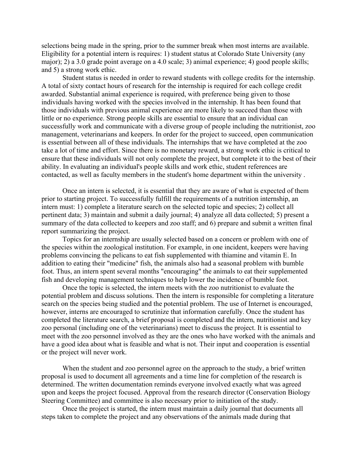selections being made in the spring, prior to the summer break when most interns are available. Eligibility for a potential intern is requires: 1) student status at Colorado State University (any major); 2) a 3.0 grade point average on a 4.0 scale; 3) animal experience; 4) good people skills; and 5) a strong work ethic.

Student status is needed in order to reward students with college credits for the internship. A total of sixty contact hours of research for the internship is required for each college credit awarded. Substantial animal experience is required, with preference being given to those individuals having worked with the species involved in the internship. It has been found that those individuals with previous animal experience are more likely to succeed than those with little or no experience. Strong people skills are essential to ensure that an individual can successfully work and communicate with a diverse group of people including the nutritionist, zoo management, veterinarians and keepers. In order for the project to succeed, open communication is essential between all of these individuals. The internships that we have completed at the zoo take a lot of time and effort. Since there is no monetary reward, a strong work ethic is critical to ensure that these individuals will not only complete the project, but complete it to the best of their ability. In evaluating an individual's people skills and work ethic, student references are contacted, as well as faculty members in the student's home department within the university .

Once an intern is selected, it is essential that they are aware of what is expected of them prior to starting project. To successfully fulfill the requirements of a nutrition internship, an intern must: 1) complete a literature search on the selected topic and species; 2) collect all pertinent data; 3) maintain and submit a daily journal; 4) analyze all data collected; 5) present a summary of the data collected to keepers and zoo staff; and 6) prepare and submit a written final report summarizing the project.

Topics for an internship are usually selected based on a concern or problem with one of the species within the zoological institution. For example, in one incident, keepers were having problems convincing the pelicans to eat fish supplemented with thiamine and vitamin E. In addition to eating their "medicine" fish, the animals also had a seasonal problem with bumble foot. Thus, an intern spent several months "encouraging" the animals to eat their supplemented fish and developing management techniques to help lower the incidence of bumble foot.

Once the topic is selected, the intern meets with the zoo nutritionist to evaluate the potential problem and discuss solutions. Then the intern is responsible for completing a literature search on the species being studied and the potential problem. The use of Internet is encouraged, however, interns are encouraged to scrutinize that information carefully. Once the student has completed the literature search, a brief proposal is completed and the intern, nutritionist and key zoo personal (including one of the veterinarians) meet to discuss the project. It is essential to meet with the zoo personnel involved as they are the ones who have worked with the animals and have a good idea about what is feasible and what is not. Their input and cooperation is essential or the project will never work.

When the student and zoo personnel agree on the approach to the study, a brief written proposal is used to document all agreements and a time line for completion of the research is determined. The written documentation reminds everyone involved exactly what was agreed upon and keeps the project focused. Approval from the research director (Conservation Biology Steering Committee) and committee is also necessary prior to initiation of the study.

Once the project is started, the intern must maintain a daily journal that documents all steps taken to complete the project and any observations of the animals made during that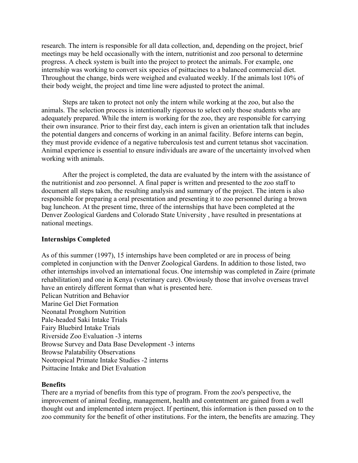research. The intern is responsible for all data collection, and, depending on the project, brief meetings may be held occasionally with the intern, nutritionist and zoo personal to determine progress. A check system is built into the project to protect the animals. For example, one internship was working to convert six species of psittacines to a balanced commercial diet. Throughout the change, birds were weighed and evaluated weekly. If the animals lost 10% of their body weight, the project and time line were adjusted to protect the animal.

Steps are taken to protect not only the intern while working at the zoo, but also the animals. The selection process is intentionally rigorous to select only those students who are adequately prepared. While the intern is working for the zoo, they are responsible for carrying their own insurance. Prior to their first day, each intern is given an orientation talk that includes the potential dangers and concerns of working in an animal facility. Before interns can begin, they must provide evidence of a negative tuberculosis test and current tetanus shot vaccination. Animal experience is essential to ensure individuals are aware of the uncertainty involved when working with animals.

After the project is completed, the data are evaluated by the intern with the assistance of the nutritionist and zoo personnel. A final paper is written and presented to the zoo staff to document all steps taken, the resulting analysis and summary of the project. The intern is also responsible for preparing a oral presentation and presenting it to zoo personnel during a brown bag luncheon. At the present time, three of the internships that have been completed at the Denver Zoological Gardens and Colorado State University , have resulted in presentations at national meetings.

### **Internships Completed**

As of this summer (1997), 15 internships have been completed or are in process of being completed in conjunction with the Denver Zoological Gardens. In addition to those listed, two other internships involved an international focus. One internship was completed in Zaire (primate rehabilitation) and one in Kenya (veterinary care). Obviously those that involve overseas travel have an entirely different format than what is presented here. Pelican Nutrition and Behavior Marine Gel Diet Formation Neonatal Pronghorn Nutrition Pale-headed Saki Intake Trials Fairy Bluebird Intake Trials Riverside Zoo Evaluation -3 interns Browse Survey and Data Base Development -3 interns Browse Palatability Observations Neotropical Primate Intake Studies -2 interns Psittacine Intake and Diet Evaluation

### **Benefits**

There are a myriad of benefits from this type of program. From the zoo's perspective, the improvement of animal feeding, management, health and contentment are gained from a well thought out and implemented intern project. If pertinent, this information is then passed on to the zoo community for the benefit of other institutions. For the intern, the benefits are amazing. They